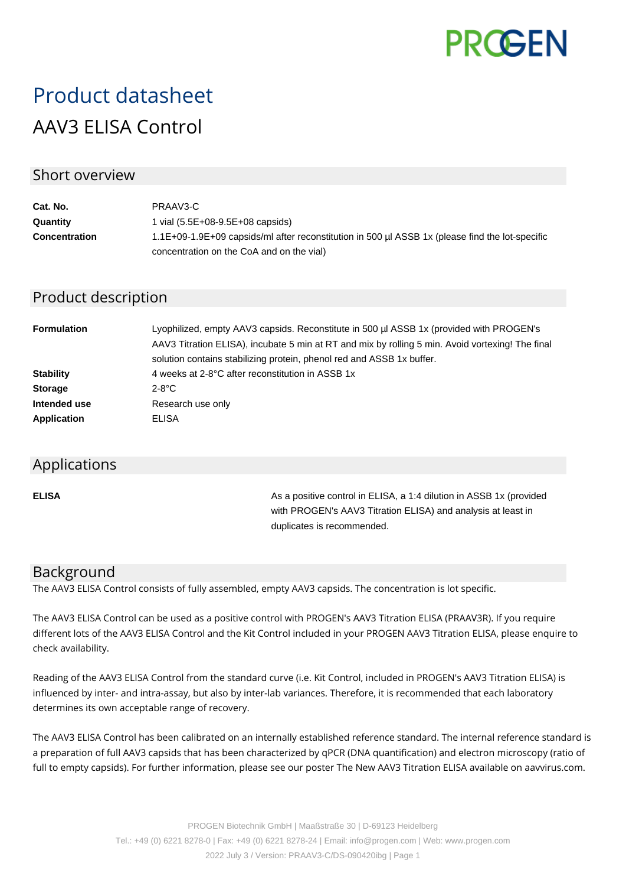

# Product datasheet AAV3 ELISA Control

## Short overview

| Cat. No.             | PRAAV3-C                                                                                        |
|----------------------|-------------------------------------------------------------------------------------------------|
| Quantity             | 1 vial (5.5E+08-9.5E+08 capsids)                                                                |
| <b>Concentration</b> | 1.1E+09-1.9E+09 capsids/ml after reconstitution in 500 ul ASSB 1x (please find the lot-specific |
|                      | concentration on the CoA and on the vial)                                                       |

# Product description

| <b>Formulation</b> | Lyophilized, empty AAV3 capsids. Reconstitute in 500 µl ASSB 1x (provided with PROGEN's<br>AAV3 Titration ELISA), incubate 5 min at RT and mix by rolling 5 min. Avoid vortexing! The final<br>solution contains stabilizing protein, phenol red and ASSB 1x buffer. |
|--------------------|----------------------------------------------------------------------------------------------------------------------------------------------------------------------------------------------------------------------------------------------------------------------|
| <b>Stability</b>   | 4 weeks at 2-8°C after reconstitution in ASSB 1x                                                                                                                                                                                                                     |
| <b>Storage</b>     | $2-8$ °C                                                                                                                                                                                                                                                             |
| Intended use       | Research use only                                                                                                                                                                                                                                                    |
| <b>Application</b> | ELISA                                                                                                                                                                                                                                                                |

#### Applications

**ELISA As a positive control in ELISA, a 1:4 dilution in ASSB 1x (provided Assets** 1:4 dilution in ASSB 1x (provided with PROGEN's AAV3 Titration ELISA) and analysis at least in duplicates is recommended.

## Background

The AAV3 ELISA Control consists of fully assembled, empty AAV3 capsids. The concentration is lot specific.

The AAV3 ELISA Control can be used as a positive control with PROGEN's AAV3 Titration ELISA (PRAAV3R). If you require different lots of the AAV3 ELISA Control and the Kit Control included in your PROGEN AAV3 Titration ELISA, please enquire to check availability.

Reading of the AAV3 ELISA Control from the standard curve (i.e. Kit Control, included in PROGEN's AAV3 Titration ELISA) is influenced by inter- and intra-assay, but also by inter-lab variances. Therefore, it is recommended that each laboratory determines its own acceptable range of recovery.

The AAV3 ELISA Control has been calibrated on an internally established reference standard. The internal reference standard is a preparation of full AAV3 capsids that has been characterized by qPCR (DNA quantification) and electron microscopy (ratio of full to empty capsids). For further information, please see our poster The New AAV3 Titration ELISA available on aavvirus.com.